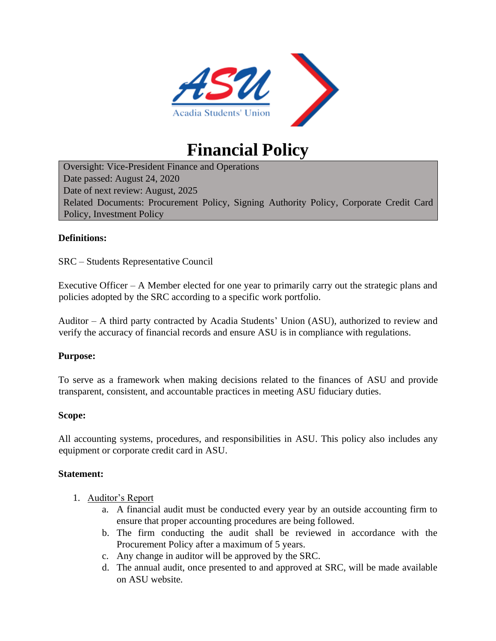

# **Financial Policy**

Oversight: Vice-President Finance and Operations Date passed: August 24, 2020 Date of next review: August, 2025 Related Documents: Procurement Policy, Signing Authority Policy, Corporate Credit Card Policy, Investment Policy

#### **Definitions:**

SRC – Students Representative Council

Executive Officer  $-A$  Member elected for one year to primarily carry out the strategic plans and policies adopted by the SRC according to a specific work portfolio.

Auditor – A third party contracted by Acadia Students' Union (ASU), authorized to review and verify the accuracy of financial records and ensure ASU is in compliance with regulations.

#### **Purpose:**

To serve as a framework when making decisions related to the finances of ASU and provide transparent, consistent, and accountable practices in meeting ASU fiduciary duties.

#### **Scope:**

All accounting systems, procedures, and responsibilities in ASU. This policy also includes any equipment or corporate credit card in ASU.

#### **Statement:**

- 1. Auditor's Report
	- a. A financial audit must be conducted every year by an outside accounting firm to ensure that proper accounting procedures are being followed.
	- b. The firm conducting the audit shall be reviewed in accordance with the Procurement Policy after a maximum of 5 years.
	- c. Any change in auditor will be approved by the SRC.
	- d. The annual audit, once presented to and approved at SRC, will be made available on ASU website.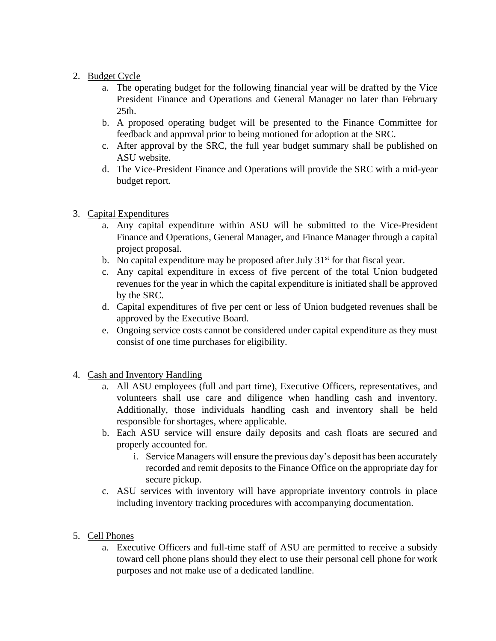## 2. Budget Cycle

- a. The operating budget for the following financial year will be drafted by the Vice President Finance and Operations and General Manager no later than February 25th.
- b. A proposed operating budget will be presented to the Finance Committee for feedback and approval prior to being motioned for adoption at the SRC.
- c. After approval by the SRC, the full year budget summary shall be published on ASU website.
- d. The Vice-President Finance and Operations will provide the SRC with a mid-year budget report.

### 3. Capital Expenditures

- a. Any capital expenditure within ASU will be submitted to the Vice-President Finance and Operations, General Manager, and Finance Manager through a capital project proposal.
- b. No capital expenditure may be proposed after July  $31<sup>st</sup>$  for that fiscal year.
- c. Any capital expenditure in excess of five percent of the total Union budgeted revenues for the year in which the capital expenditure is initiated shall be approved by the SRC.
- d. Capital expenditures of five per cent or less of Union budgeted revenues shall be approved by the Executive Board.
- e. Ongoing service costs cannot be considered under capital expenditure as they must consist of one time purchases for eligibility.
- 4. Cash and Inventory Handling
	- a. All ASU employees (full and part time), Executive Officers, representatives, and volunteers shall use care and diligence when handling cash and inventory. Additionally, those individuals handling cash and inventory shall be held responsible for shortages, where applicable.
	- b. Each ASU service will ensure daily deposits and cash floats are secured and properly accounted for.
		- i. Service Managers will ensure the previous day's deposit has been accurately recorded and remit deposits to the Finance Office on the appropriate day for secure pickup.
	- c. ASU services with inventory will have appropriate inventory controls in place including inventory tracking procedures with accompanying documentation.

## 5. Cell Phones

a. Executive Officers and full-time staff of ASU are permitted to receive a subsidy toward cell phone plans should they elect to use their personal cell phone for work purposes and not make use of a dedicated landline.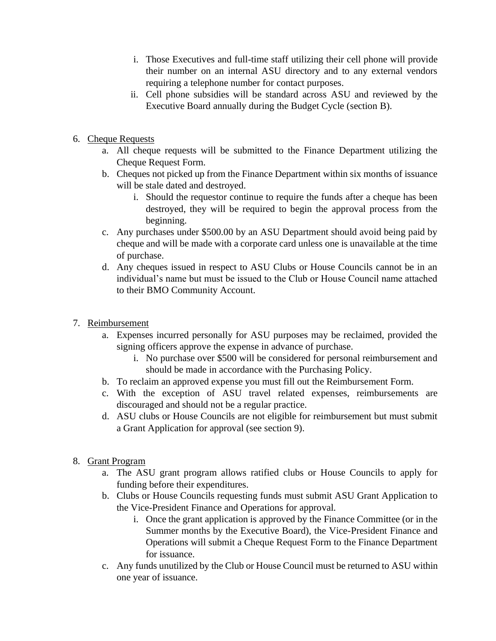- i. Those Executives and full-time staff utilizing their cell phone will provide their number on an internal ASU directory and to any external vendors requiring a telephone number for contact purposes.
- ii. Cell phone subsidies will be standard across ASU and reviewed by the Executive Board annually during the Budget Cycle (section B).
- 6. Cheque Requests
	- a. All cheque requests will be submitted to the Finance Department utilizing the Cheque Request Form.
	- b. Cheques not picked up from the Finance Department within six months of issuance will be stale dated and destroyed.
		- i. Should the requestor continue to require the funds after a cheque has been destroyed, they will be required to begin the approval process from the beginning.
	- c. Any purchases under \$500.00 by an ASU Department should avoid being paid by cheque and will be made with a corporate card unless one is unavailable at the time of purchase.
	- d. Any cheques issued in respect to ASU Clubs or House Councils cannot be in an individual's name but must be issued to the Club or House Council name attached to their BMO Community Account.
- 7. Reimbursement
	- a. Expenses incurred personally for ASU purposes may be reclaimed, provided the signing officers approve the expense in advance of purchase.
		- i. No purchase over \$500 will be considered for personal reimbursement and should be made in accordance with the Purchasing Policy.
	- b. To reclaim an approved expense you must fill out the Reimbursement Form.
	- c. With the exception of ASU travel related expenses, reimbursements are discouraged and should not be a regular practice.
	- d. ASU clubs or House Councils are not eligible for reimbursement but must submit a Grant Application for approval (see section 9).
- 8. Grant Program
	- a. The ASU grant program allows ratified clubs or House Councils to apply for funding before their expenditures.
	- b. Clubs or House Councils requesting funds must submit ASU Grant Application to the Vice-President Finance and Operations for approval.
		- i. Once the grant application is approved by the Finance Committee (or in the Summer months by the Executive Board), the Vice-President Finance and Operations will submit a Cheque Request Form to the Finance Department for issuance.
	- c. Any funds unutilized by the Club or House Council must be returned to ASU within one year of issuance.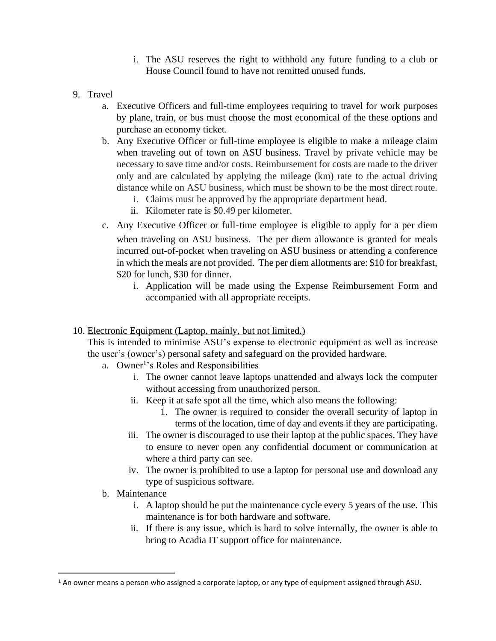- i. The ASU reserves the right to withhold any future funding to a club or House Council found to have not remitted unused funds.
- 9. Travel
	- a. Executive Officers and full-time employees requiring to travel for work purposes by plane, train, or bus must choose the most economical of the these options and purchase an economy ticket.
	- b. Any Executive Officer or full-time employee is eligible to make a mileage claim when traveling out of town on ASU business. Travel by private vehicle may be necessary to save time and/or costs. Reimbursement for costs are made to the driver only and are calculated by applying the mileage (km) rate to the actual driving distance while on ASU business, which must be shown to be the most direct route.
		- i. Claims must be approved by the appropriate department head.
		- ii. Kilometer rate is \$0.49 per kilometer.
	- c. Any Executive Officer or full-time employee is eligible to apply for a per diem when traveling on ASU business. The per diem allowance is granted for meals incurred out-of-pocket when traveling on ASU business or attending a conference in which the meals are not provided. The per diem allotments are: \$10 for breakfast, \$20 for lunch, \$30 for dinner.
		- i. Application will be made using the Expense Reimbursement Form and accompanied with all appropriate receipts.
- 10. Electronic Equipment (Laptop, mainly, but not limited.)

This is intended to minimise ASU's expense to electronic equipment as well as increase the user's (owner's) personal safety and safeguard on the provided hardware.

- a. Owner<sup>1</sup>'s Roles and Responsibilities
	- i. The owner cannot leave laptops unattended and always lock the computer without accessing from unauthorized person.
	- ii. Keep it at safe spot all the time, which also means the following:
		- 1. The owner is required to consider the overall security of laptop in terms of the location, time of day and events if they are participating.
	- iii. The owner is discouraged to use their laptop at the public spaces. They have to ensure to never open any confidential document or communication at where a third party can see.
	- iv. The owner is prohibited to use a laptop for personal use and download any type of suspicious software.
- b. Maintenance
	- i. A laptop should be put the maintenance cycle every 5 years of the use. This maintenance is for both hardware and software.
	- ii. If there is any issue, which is hard to solve internally, the owner is able to bring to Acadia IT support office for maintenance.

 $1$  An owner means a person who assigned a corporate laptop, or any type of equipment assigned through ASU.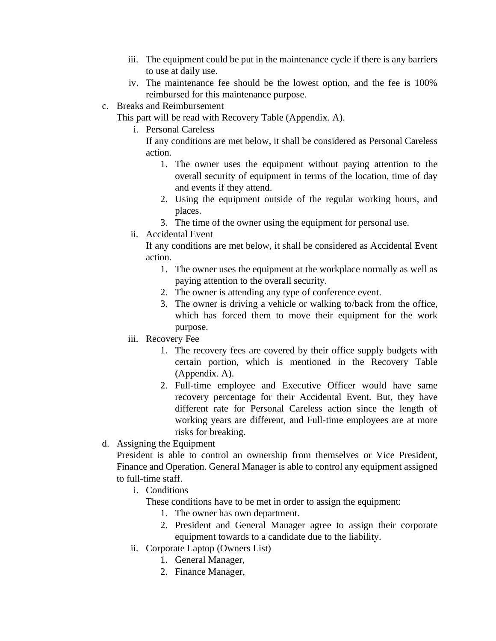- iii. The equipment could be put in the maintenance cycle if there is any barriers to use at daily use.
- iv. The maintenance fee should be the lowest option, and the fee is 100% reimbursed for this maintenance purpose.
- c. Breaks and Reimbursement
	- This part will be read with Recovery Table (Appendix. A).
		- i. Personal Careless

If any conditions are met below, it shall be considered as Personal Careless action.

- 1. The owner uses the equipment without paying attention to the overall security of equipment in terms of the location, time of day and events if they attend.
- 2. Using the equipment outside of the regular working hours, and places.
- 3. The time of the owner using the equipment for personal use.
- ii. Accidental Event

If any conditions are met below, it shall be considered as Accidental Event action.

- 1. The owner uses the equipment at the workplace normally as well as paying attention to the overall security.
- 2. The owner is attending any type of conference event.
- 3. The owner is driving a vehicle or walking to/back from the office, which has forced them to move their equipment for the work purpose.
- iii. Recovery Fee
	- 1. The recovery fees are covered by their office supply budgets with certain portion, which is mentioned in the Recovery Table (Appendix. A).
	- 2. Full-time employee and Executive Officer would have same recovery percentage for their Accidental Event. But, they have different rate for Personal Careless action since the length of working years are different, and Full-time employees are at more risks for breaking.
- d. Assigning the Equipment

President is able to control an ownership from themselves or Vice President, Finance and Operation. General Manager is able to control any equipment assigned to full-time staff.

i. Conditions

These conditions have to be met in order to assign the equipment:

- 1. The owner has own department.
- 2. President and General Manager agree to assign their corporate equipment towards to a candidate due to the liability.
- ii. Corporate Laptop (Owners List)
	- 1. General Manager,
	- 2. Finance Manager,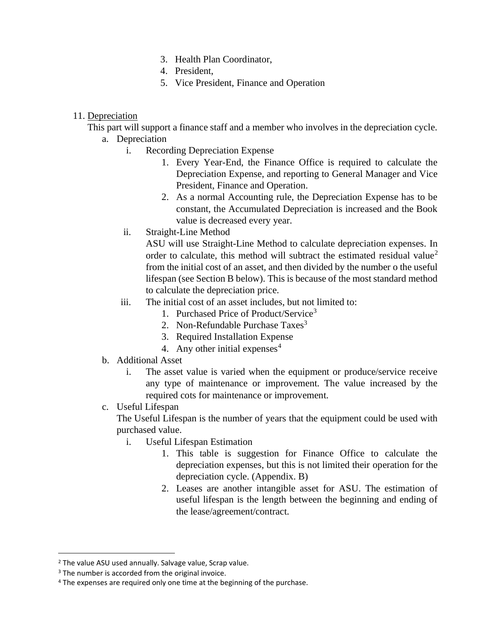- 3. Health Plan Coordinator,
- 4. President,
- 5. Vice President, Finance and Operation

#### 11. Depreciation

This part will support a finance staff and a member who involves in the depreciation cycle.

- a. Depreciation
	- i. Recording Depreciation Expense
		- 1. Every Year-End, the Finance Office is required to calculate the Depreciation Expense, and reporting to General Manager and Vice President, Finance and Operation.
		- 2. As a normal Accounting rule, the Depreciation Expense has to be constant, the Accumulated Depreciation is increased and the Book value is decreased every year.
	- ii. Straight-Line Method

ASU will use Straight-Line Method to calculate depreciation expenses. In order to calculate, this method will subtract the estimated residual value<sup>2</sup> from the initial cost of an asset, and then divided by the number o the useful lifespan (see Section B below). This is because of the most standard method to calculate the depreciation price.

- iii. The initial cost of an asset includes, but not limited to:
	- 1. Purchased Price of Product/Service<sup>3</sup>
	- 2. Non-Refundable Purchase Taxes<sup>3</sup>
	- 3. Required Installation Expense
	- 4. Any other initial expenses<sup>4</sup>
- b. Additional Asset
	- i. The asset value is varied when the equipment or produce/service receive any type of maintenance or improvement. The value increased by the required cots for maintenance or improvement.
- c. Useful Lifespan

The Useful Lifespan is the number of years that the equipment could be used with purchased value.

- i. Useful Lifespan Estimation
	- 1. This table is suggestion for Finance Office to calculate the depreciation expenses, but this is not limited their operation for the depreciation cycle. (Appendix. B)
	- 2. Leases are another intangible asset for ASU. The estimation of useful lifespan is the length between the beginning and ending of the lease/agreement/contract.

<sup>2</sup> The value ASU used annually. Salvage value, Scrap value.

<sup>&</sup>lt;sup>3</sup> The number is accorded from the original invoice.

<sup>&</sup>lt;sup>4</sup> The expenses are required only one time at the beginning of the purchase.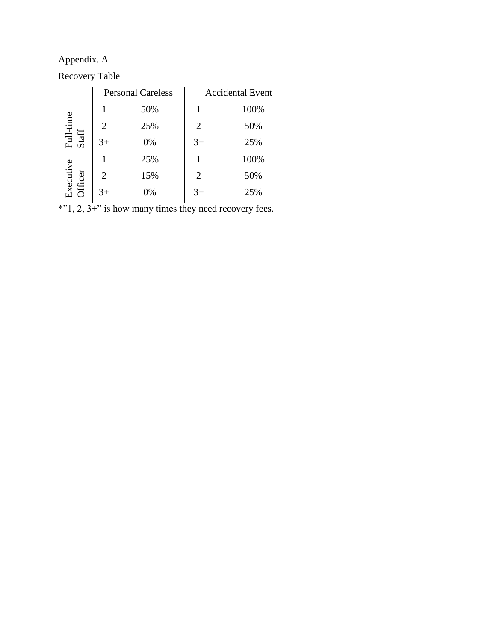Appendix. A

Recovery Table

|                            | <b>Personal Careless</b> |     | <b>Accidental Event</b> |      |
|----------------------------|--------------------------|-----|-------------------------|------|
|                            |                          | 50% |                         | 100% |
| Full-time<br>Staff         | $\overline{2}$           | 25% | $\overline{2}$          | 50%  |
|                            | $3+$                     | 0%  | $3+$                    | 25%  |
| xecutive<br><b>Ifficer</b> |                          | 25% |                         | 100% |
|                            | 2                        | 15% | 2                       | 50%  |
|                            | 3+                       | 0%  | 3+                      | 25%  |

\*"1, 2, 3+" is how many times they need recovery fees.